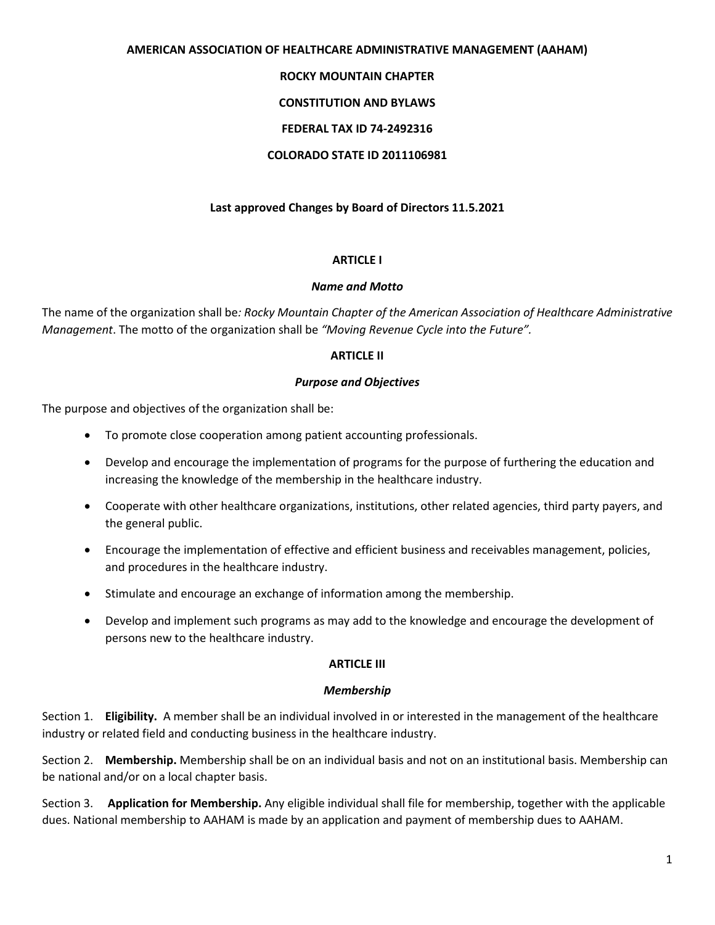#### **AMERICAN ASSOCIATION OF HEALTHCARE ADMINISTRATIVE MANAGEMENT (AAHAM)**

### **ROCKY MOUNTAIN CHAPTER**

# **CONSTITUTION AND BYLAWS**

### **FEDERAL TAX ID 74-2492316**

### **COLORADO STATE ID 2011106981**

### **Last approved Changes by Board of Directors 11.5.2021**

### **ARTICLE I**

#### *Name and Motto*

The name of the organization shall be*: Rocky Mountain Chapter of the American Association of Healthcare Administrative Management*. The motto of the organization shall be *"Moving Revenue Cycle into the Future".*

#### **ARTICLE II**

#### *Purpose and Objectives*

The purpose and objectives of the organization shall be:

- To promote close cooperation among patient accounting professionals.
- Develop and encourage the implementation of programs for the purpose of furthering the education and increasing the knowledge of the membership in the healthcare industry.
- Cooperate with other healthcare organizations, institutions, other related agencies, third party payers, and the general public.
- Encourage the implementation of effective and efficient business and receivables management, policies, and procedures in the healthcare industry.
- Stimulate and encourage an exchange of information among the membership.
- Develop and implement such programs as may add to the knowledge and encourage the development of persons new to the healthcare industry.

### **ARTICLE III**

### *Membership*

Section 1. **Eligibility.** A member shall be an individual involved in or interested in the management of the healthcare industry or related field and conducting business in the healthcare industry.

Section 2. **Membership.** Membership shall be on an individual basis and not on an institutional basis. Membership can be national and/or on a local chapter basis.

Section 3. **Application for Membership.** Any eligible individual shall file for membership, together with the applicable dues. National membership to AAHAM is made by an application and payment of membership dues to AAHAM.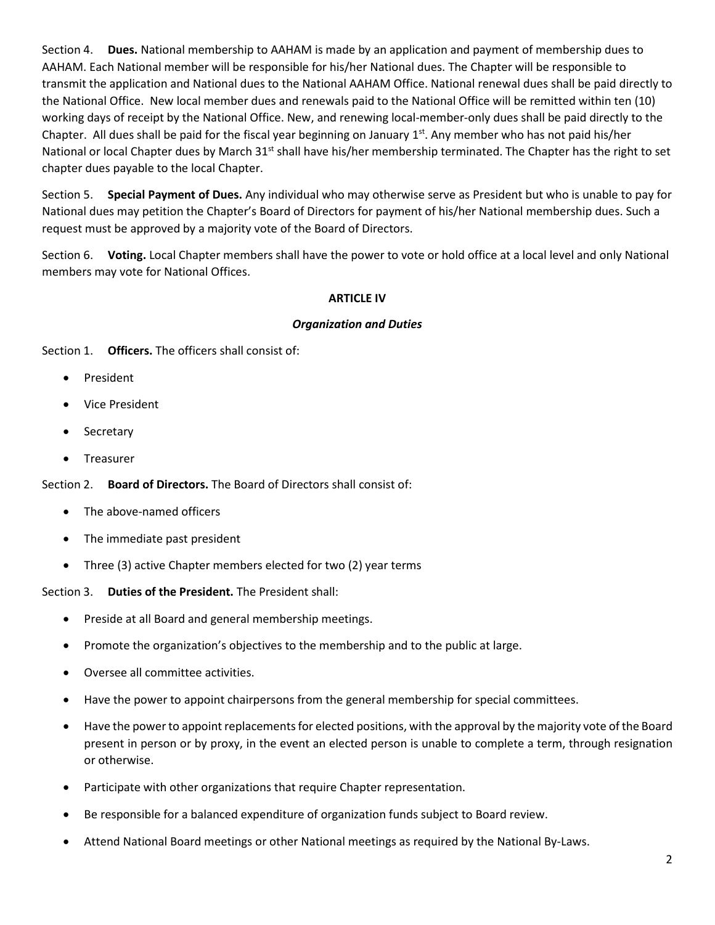Section 4. **Dues.** National membership to AAHAM is made by an application and payment of membership dues to AAHAM. Each National member will be responsible for his/her National dues. The Chapter will be responsible to transmit the application and National dues to the National AAHAM Office. National renewal dues shall be paid directly to the National Office. New local member dues and renewals paid to the National Office will be remitted within ten (10) working days of receipt by the National Office. New, and renewing local-member-only dues shall be paid directly to the Chapter. All dues shall be paid for the fiscal year beginning on January 1<sup>st</sup>. Any member who has not paid his/her National or local Chapter dues by March  $31^{st}$  shall have his/her membership terminated. The Chapter has the right to set chapter dues payable to the local Chapter.

Section 5. **Special Payment of Dues.** Any individual who may otherwise serve as President but who is unable to pay for National dues may petition the Chapter's Board of Directors for payment of his/her National membership dues. Such a request must be approved by a majority vote of the Board of Directors.

Section 6. **Voting.** Local Chapter members shall have the power to vote or hold office at a local level and only National members may vote for National Offices.

### **ARTICLE IV**

### *Organization and Duties*

Section 1. **Officers.** The officers shall consist of:

- **President**
- Vice President
- **Secretary**
- **Treasurer**

Section 2. **Board of Directors.** The Board of Directors shall consist of:

- The above-named officers
- The immediate past president
- Three (3) active Chapter members elected for two (2) year terms

Section 3. **Duties of the President.** The President shall:

- Preside at all Board and general membership meetings.
- Promote the organization's objectives to the membership and to the public at large.
- Oversee all committee activities.
- Have the power to appoint chairpersons from the general membership for special committees.
- Have the power to appoint replacements for elected positions, with the approval by the majority vote of the Board present in person or by proxy, in the event an elected person is unable to complete a term, through resignation or otherwise.
- Participate with other organizations that require Chapter representation.
- Be responsible for a balanced expenditure of organization funds subject to Board review.
- Attend National Board meetings or other National meetings as required by the National By-Laws.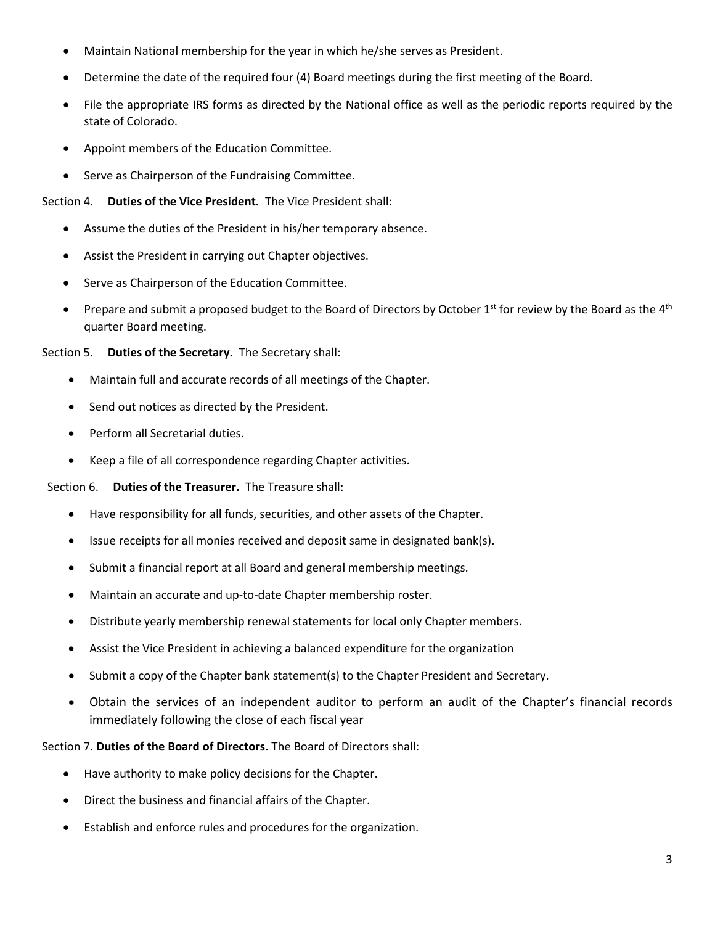- Maintain National membership for the year in which he/she serves as President.
- Determine the date of the required four (4) Board meetings during the first meeting of the Board.
- File the appropriate IRS forms as directed by the National office as well as the periodic reports required by the state of Colorado.
- Appoint members of the Education Committee.
- Serve as Chairperson of the Fundraising Committee.

Section 4. **Duties of the Vice President.** The Vice President shall:

- Assume the duties of the President in his/her temporary absence.
- Assist the President in carrying out Chapter objectives.
- Serve as Chairperson of the Education Committee.
- Prepare and submit a proposed budget to the Board of Directors by October  $1^{st}$  for review by the Board as the  $4^{th}$ quarter Board meeting.

Section 5. **Duties of the Secretary.** The Secretary shall:

- Maintain full and accurate records of all meetings of the Chapter.
- Send out notices as directed by the President.
- Perform all Secretarial duties.
- Keep a file of all correspondence regarding Chapter activities.

Section 6. **Duties of the Treasurer.** The Treasure shall:

- Have responsibility for all funds, securities, and other assets of the Chapter.
- Issue receipts for all monies received and deposit same in designated bank(s).
- Submit a financial report at all Board and general membership meetings.
- Maintain an accurate and up-to-date Chapter membership roster.
- Distribute yearly membership renewal statements for local only Chapter members.
- Assist the Vice President in achieving a balanced expenditure for the organization
- Submit a copy of the Chapter bank statement(s) to the Chapter President and Secretary.
- Obtain the services of an independent auditor to perform an audit of the Chapter's financial records immediately following the close of each fiscal year

Section 7. **Duties of the Board of Directors.** The Board of Directors shall:

- Have authority to make policy decisions for the Chapter.
- Direct the business and financial affairs of the Chapter.
- Establish and enforce rules and procedures for the organization.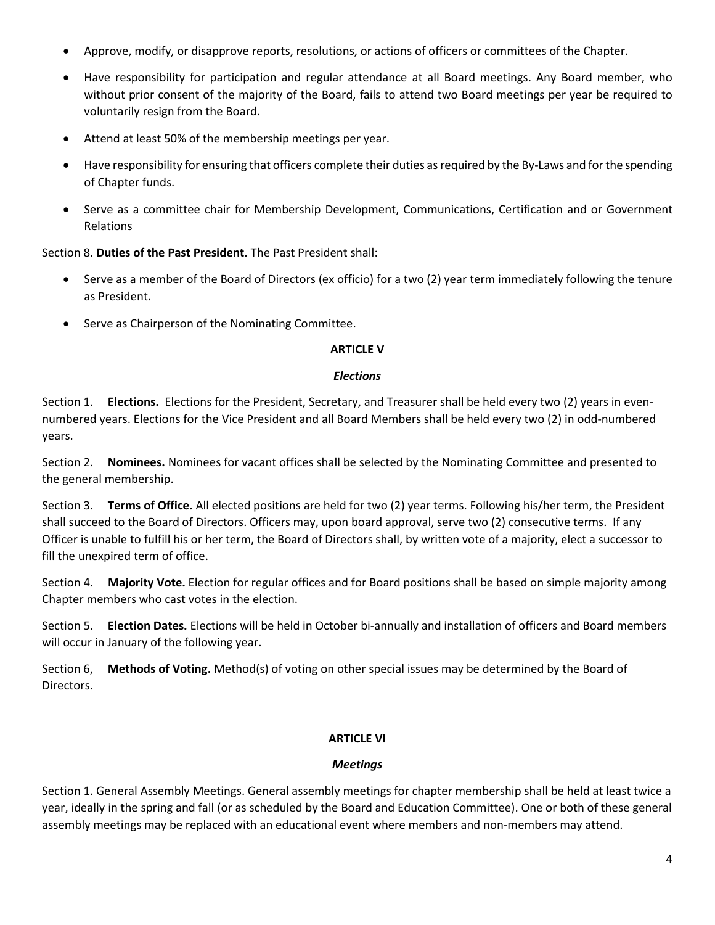- Approve, modify, or disapprove reports, resolutions, or actions of officers or committees of the Chapter.
- Have responsibility for participation and regular attendance at all Board meetings. Any Board member, who without prior consent of the majority of the Board, fails to attend two Board meetings per year be required to voluntarily resign from the Board.
- Attend at least 50% of the membership meetings per year.
- Have responsibility for ensuring that officers complete their duties as required by the By-Laws and for the spending of Chapter funds.
- Serve as a committee chair for Membership Development, Communications, Certification and or Government Relations

Section 8. **Duties of the Past President.** The Past President shall:

- Serve as a member of the Board of Directors (ex officio) for a two (2) year term immediately following the tenure as President.
- Serve as Chairperson of the Nominating Committee.

### **ARTICLE V**

### *Elections*

Section 1. **Elections.** Elections for the President, Secretary, and Treasurer shall be held every two (2) years in evennumbered years. Elections for the Vice President and all Board Members shall be held every two (2) in odd-numbered years.

Section 2. **Nominees.** Nominees for vacant offices shall be selected by the Nominating Committee and presented to the general membership.

Section 3. **Terms of Office.** All elected positions are held for two (2) year terms. Following his/her term, the President shall succeed to the Board of Directors. Officers may, upon board approval, serve two (2) consecutive terms. If any Officer is unable to fulfill his or her term, the Board of Directors shall, by written vote of a majority, elect a successor to fill the unexpired term of office.

Section 4. **Majority Vote.** Election for regular offices and for Board positions shall be based on simple majority among Chapter members who cast votes in the election.

Section 5. **Election Dates.** Elections will be held in October bi-annually and installation of officers and Board members will occur in January of the following year.

Section 6, **Methods of Voting.** Method(s) of voting on other special issues may be determined by the Board of Directors.

# **ARTICLE VI**

# *Meetings*

Section 1. General Assembly Meetings. General assembly meetings for chapter membership shall be held at least twice a year, ideally in the spring and fall (or as scheduled by the Board and Education Committee). One or both of these general assembly meetings may be replaced with an educational event where members and non-members may attend.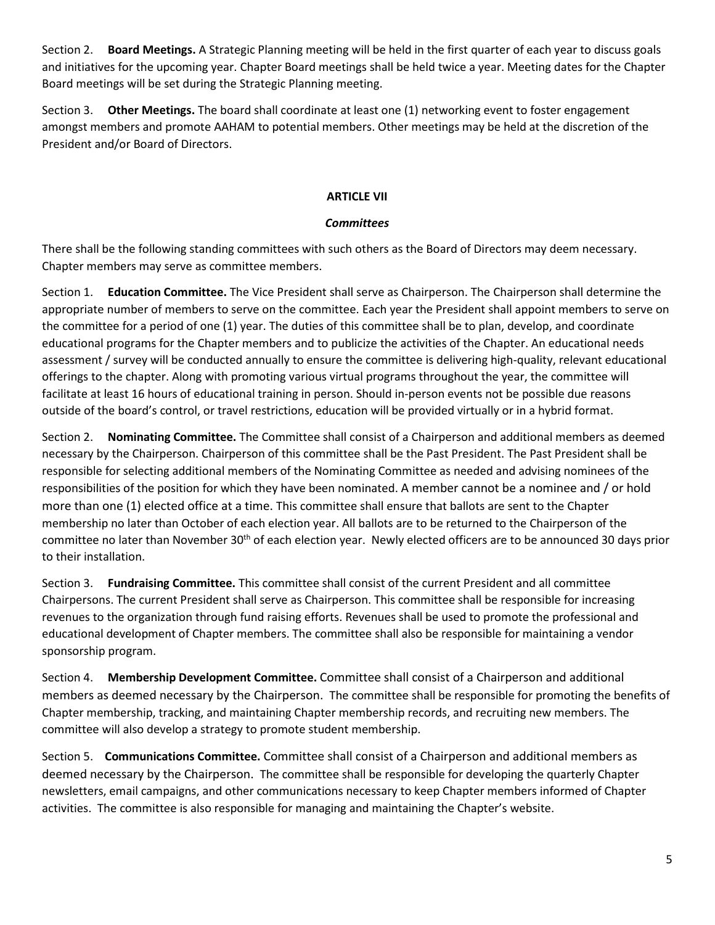Section 2. **Board Meetings.** A Strategic Planning meeting will be held in the first quarter of each year to discuss goals and initiatives for the upcoming year. Chapter Board meetings shall be held twice a year. Meeting dates for the Chapter Board meetings will be set during the Strategic Planning meeting.

Section 3. **Other Meetings.** The board shall coordinate at least one (1) networking event to foster engagement amongst members and promote AAHAM to potential members. Other meetings may be held at the discretion of the President and/or Board of Directors.

# **ARTICLE VII**

### *Committees*

There shall be the following standing committees with such others as the Board of Directors may deem necessary. Chapter members may serve as committee members.

Section 1. **Education Committee.** The Vice President shall serve as Chairperson. The Chairperson shall determine the appropriate number of members to serve on the committee. Each year the President shall appoint members to serve on the committee for a period of one (1) year. The duties of this committee shall be to plan, develop, and coordinate educational programs for the Chapter members and to publicize the activities of the Chapter. An educational needs assessment / survey will be conducted annually to ensure the committee is delivering high-quality, relevant educational offerings to the chapter. Along with promoting various virtual programs throughout the year, the committee will facilitate at least 16 hours of educational training in person. Should in-person events not be possible due reasons outside of the board's control, or travel restrictions, education will be provided virtually or in a hybrid format.

Section 2. **Nominating Committee.** The Committee shall consist of a Chairperson and additional members as deemed necessary by the Chairperson. Chairperson of this committee shall be the Past President. The Past President shall be responsible for selecting additional members of the Nominating Committee as needed and advising nominees of the responsibilities of the position for which they have been nominated. A member cannot be a nominee and / or hold more than one (1) elected office at a time. This committee shall ensure that ballots are sent to the Chapter membership no later than October of each election year. All ballots are to be returned to the Chairperson of the committee no later than November 30<sup>th</sup> of each election year. Newly elected officers are to be announced 30 days prior to their installation.

Section 3. **Fundraising Committee.** This committee shall consist of the current President and all committee Chairpersons. The current President shall serve as Chairperson. This committee shall be responsible for increasing revenues to the organization through fund raising efforts. Revenues shall be used to promote the professional and educational development of Chapter members. The committee shall also be responsible for maintaining a vendor sponsorship program.

Section 4. **Membership Development Committee.** Committee shall consist of a Chairperson and additional members as deemed necessary by the Chairperson. The committee shall be responsible for promoting the benefits of Chapter membership, tracking, and maintaining Chapter membership records, and recruiting new members. The committee will also develop a strategy to promote student membership.

Section 5. **Communications Committee.** Committee shall consist of a Chairperson and additional members as deemed necessary by the Chairperson. The committee shall be responsible for developing the quarterly Chapter newsletters, email campaigns, and other communications necessary to keep Chapter members informed of Chapter activities. The committee is also responsible for managing and maintaining the Chapter's website.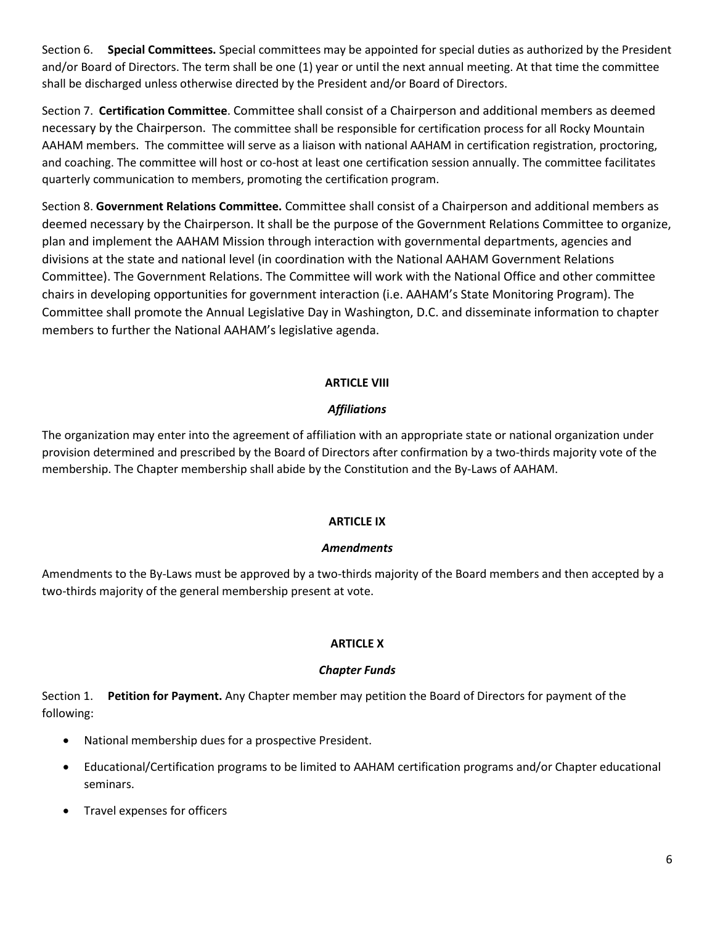Section 6. **Special Committees.** Special committees may be appointed for special duties as authorized by the President and/or Board of Directors. The term shall be one (1) year or until the next annual meeting. At that time the committee shall be discharged unless otherwise directed by the President and/or Board of Directors.

Section 7. **Certification Committee**. Committee shall consist of a Chairperson and additional members as deemed necessary by the Chairperson. The committee shall be responsible for certification process for all Rocky Mountain AAHAM members. The committee will serve as a liaison with national AAHAM in certification registration, proctoring, and coaching. The committee will host or co-host at least one certification session annually. The committee facilitates quarterly communication to members, promoting the certification program.

Section 8. **Government Relations Committee.** Committee shall consist of a Chairperson and additional members as deemed necessary by the Chairperson. It shall be the purpose of the Government Relations Committee to organize, plan and implement the AAHAM Mission through interaction with governmental departments, agencies and divisions at the state and national level (in coordination with the National AAHAM Government Relations Committee). The Government Relations. The Committee will work with the National Office and other committee chairs in developing opportunities for government interaction (i.e. AAHAM's State Monitoring Program). The Committee shall promote the Annual Legislative Day in Washington, D.C. and disseminate information to chapter members to further the National AAHAM's legislative agenda.

### **ARTICLE VIII**

### *Affiliations*

The organization may enter into the agreement of affiliation with an appropriate state or national organization under provision determined and prescribed by the Board of Directors after confirmation by a two-thirds majority vote of the membership. The Chapter membership shall abide by the Constitution and the By-Laws of AAHAM.

### **ARTICLE IX**

### *Amendments*

Amendments to the By-Laws must be approved by a two-thirds majority of the Board members and then accepted by a two-thirds majority of the general membership present at vote.

# **ARTICLE X**

# *Chapter Funds*

Section 1. **Petition for Payment.** Any Chapter member may petition the Board of Directors for payment of the following:

- National membership dues for a prospective President.
- Educational/Certification programs to be limited to AAHAM certification programs and/or Chapter educational seminars.
- Travel expenses for officers